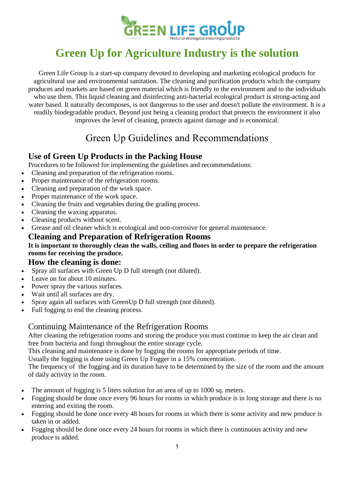

# **Green Up for Agriculture Industry is the solution**

Green Life Group is a start-up company devoted to developing and marketing ecological products for agricultural use and environmental sanitation. The cleaning and purification products which the company produces and markets are based on green material which is friendly to the environment and to the individuals who use them. This liquid cleaning and disinfecting anti-bacterial ecological product is strong-acting and water based. It naturally decomposes, is not dangerous to the user and doesn't pollute the environment. It is a readily biodegradable product. Beyond just being a cleaning product that protects the environment it also improves the level of cleaning, protects against damage and is economical.

## Green Up Guidelines and Recommendations

### **Use of Green Up Products in the Packing House**

Procedures to be followed for implementing the guidelines and recommendations:

- Cleaning and preparation of the refrigeration rooms.
- Proper maintenance of the refrigeration rooms.
- Cleaning and preparation of the work space.
- Proper maintenance of the work space.
- Cleaning the fruits and vegetables during the grading process.
- Cleaning the waxing apparatus.
- Cleaning products without scent.
- Grease and oil cleaner which is ecological and non-corrosive for general maintenance.

## **Cleaning and Preparation of Refrigeration Rooms**

#### **It is important to thoroughly clean the walls, ceiling and floors in order to prepare the refrigeration rooms for receiving the produce.**

### **How the cleaning is done:**

- Spray all surfaces with Green Up D full strength (not diluted).
- Leave on for about 10 minutes.
- Power spray the various surfaces.
- Wait until all surfaces are dry.
- Spray again all surfaces with GreenUp D full strength (not diluted).
- Full fogging to end the cleaning process.

### Continuing Maintenance of the Refrigeration Rooms

After cleaning the refrigeration rooms and storing the produce you must continue to keep the air clean and free from bacteria and fungi throughout the entire storage cycle.

This cleaning and maintenance is done by fogging the rooms for appropriate periods of time.

Usually the fogging is done using Green Up Fogger in a 15% concentration.

The frequency of the fogging and its duration have to be determined by the size of the room and the amount of daily activity in the room.

- The amount of fogging is 5 liters solution for an area of up to 1000 sq. meters.
- Fogging should be done once every 96 hours for rooms in which produce is in long storage and there is no entering and exiting the room.
- Fogging should be done once every 48 hours for rooms in which there is some activity and new produce is taken in or added.
- Fogging should be done once every 24 hours for rooms in which there is continuous activity and new produce is added.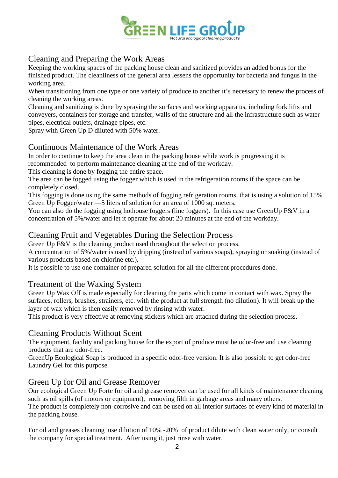

### Cleaning and Preparing the Work Areas

Keeping the working spaces of the packing house clean and sanitized provides an added bonus for the finished product. The cleanliness of the general area lessens the opportunity for bacteria and fungus in the working area.

When transitioning from one type or one variety of produce to another it's necessary to renew the process of cleaning the working areas.

Cleaning and sanitizing is done by spraying the surfaces and working apparatus, including fork lifts and conveyers, containers for storage and transfer, walls of the structure and all the infrastructure such as water pipes, electrical outlets, drainage pipes, etc.

Spray with Green Up D diluted with 50% water.

### Continuous Maintenance of the Work Areas

In order to continue to keep the area clean in the packing house while work is progressing it is recommended to perform maintenance cleaning at the end of the workday.

This cleaning is done by fogging the entire space.

The area can be fogged using the fogger which is used in the refrigeration rooms if the space can be completely closed.

This fogging is done using the same methods of fogging refrigeration rooms, that is using a solution of 15% Green Up Fogger/water —5 liters of solution for an area of 1000 sq. meters.

You can also do the fogging using hothouse foggers (line foggers). In this case use GreenUp F&V in a concentration of 5%/water and let it operate for about 20 minutes at the end of the workday.

### Cleaning Fruit and Vegetables During the Selection Process

Green Up F&V is the cleaning product used throughout the selection process.

A concentration of 5%/water is used by dripping (instead of various soaps), spraying or soaking (instead of various products based on chlorine etc.).

It is possible to use one container of prepared solution for all the different procedures done.

#### Treatment of the Waxing System

Green Up Wax Off is made especially for cleaning the parts which come in contact with wax. Spray the surfaces, rollers, brushes, strainers, etc. with the product at full strength (no dilution). It will break up the layer of wax which is then easily removed by rinsing with water.

This product is very effective at removing stickers which are attached during the selection process.

### Cleaning Products Without Scent

The equipment, facility and packing house for the export of produce must be odor-free and use cleaning products that are odor-free.

GreenUp Ecological Soap is produced in a specific odor-free version. It is also possible to get odor-free Laundry Gel for this purpose.

### Green Up for Oil and Grease Remover

Our ecological Green Up Forte for oil and grease remover can be used for all kinds of maintenance cleaning such as oil spills (of motors or equipment), removing filth in garbage areas and many others.

The product is completely non-corrosive and can be used on all interior surfaces of every kind of material in the packing house.

For oil and greases cleaning use dilution of 10% -20% of product dilute with clean water only, or consult the company for special treatment. After using it, just rinse with water.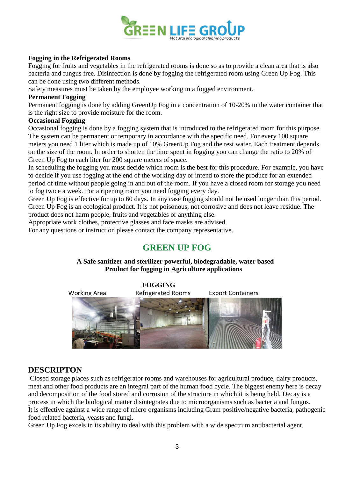

#### **Fogging in the Refrigerated Rooms**

Fogging for fruits and vegetables in the refrigerated rooms is done so as to provide a clean area that is also bacteria and fungus free. Disinfection is done by fogging the refrigerated room using Green Up Fog. This can be done using two different methods.

Safety measures must be taken by the employee working in a fogged environment.

#### **Permanent Fogging**

Permanent fogging is done by adding GreenUp Fog in a concentration of 10-20% to the water container that is the right size to provide moisture for the room.

#### **Occasional Fogging**

Occasional fogging is done by a fogging system that is introduced to the refrigerated room for this purpose. The system can be permanent or temporary in accordance with the specific need. For every 100 square meters you need 1 liter which is made up of 10% GreenUp Fog and the rest water. Each treatment depends on the size of the room. In order to shorten the time spent in fogging you can change the ratio to 20% of Green Up Fog to each liter for 200 square meters of space.

In scheduling the fogging you must decide which room is the best for this procedure. For example, you have to decide if you use fogging at the end of the working day or intend to store the produce for an extended period of time without people going in and out of the room. If you have a closed room for storage you need to fog twice a week. For a ripening room you need fogging every day.

Green Up Fog is effective for up to 60 days. In any case fogging should not be used longer than this period. Green Up Fog is an ecological product. It is not poisonous, not corrosive and does not leave residue. The product does not harm people, fruits and vegetables or anything else.

Appropriate work clothes, protective glasses and face masks are advised.

For any questions or instruction please contact the company representative.

### **GREEN UP FOG**

#### **A Safe sanitizer and sterilizer powerful, biodegradable, water based Product for fogging in Agriculture applications**



#### **DESCRIPTON**

Closed storage places such as refrigerator rooms and warehouses for agricultural produce, dairy products, meat and other food products are an integral part of the human food cycle. The biggest enemy here is decay and decomposition of the food stored and corrosion of the structure in which it is being held. Decay is a process in which the biological matter disintegrates due to microorganisms such as bacteria and fungus. It is effective against a wide range of micro organisms including Gram positive/negative bacteria, pathogenic food related bacteria, yeasts and fungi.

Green Up Fog excels in its ability to deal with this problem with a wide spectrum antibacterial agent.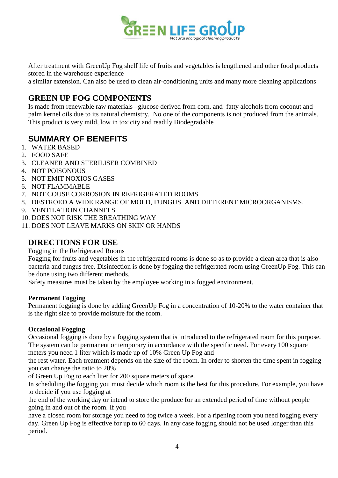

After treatment with GreenUp Fog shelf life of fruits and vegetables is lengthened and other food products stored in the warehouse experience

a similar extension. Can also be used to clean air-conditioning units and many more cleaning applications

### **GREEN UP FOG COMPONENTS**

Is made from renewable raw materials –glucose derived from corn, and fatty alcohols from coconut and palm kernel oils due to its natural chemistry. No one of the components is not produced from the animals. This product is very mild, low in toxicity and readily Biodegradable

### **SUMMARY OF BENEFITS**

- 1. WATER BASED
- 2. FOOD SAFE
- 3. CLEANER AND STERILISER COMBINED
- 4. NOT POISONOUS
- 5. NOT EMIT NOXIOS GASES
- 6. NOT FLAMMABLE
- 7. NOT COUSE CORROSION IN REFRIGERATED ROOMS
- 8. DESTROED A WIDE RANGE OF MOLD, FUNGUS AND DIFFERENT MICROORGANISMS.
- 9. VENTILATION CHANNELS
- 10. DOES NOT RISK THE BREATHING WAY
- 11. DOES NOT LEAVE MARKS ON SKIN OR HANDS

### **DIRECTIONS FOR USE**

Fogging in the Refrigerated Rooms

Fogging for fruits and vegetables in the refrigerated rooms is done so as to provide a clean area that is also bacteria and fungus free. Disinfection is done by fogging the refrigerated room using GreenUp Fog. This can be done using two different methods.

Safety measures must be taken by the employee working in a fogged environment.

#### **Permanent Fogging**

Permanent fogging is done by adding GreenUp Fog in a concentration of 10-20% to the water container that is the right size to provide moisture for the room.

#### **Occasional Fogging**

Occasional fogging is done by a fogging system that is introduced to the refrigerated room for this purpose. The system can be permanent or temporary in accordance with the specific need. For every 100 square meters you need 1 liter which is made up of 10% Green Up Fog and

the rest water. Each treatment depends on the size of the room. In order to shorten the time spent in fogging you can change the ratio to 20%

of Green Up Fog to each liter for 200 square meters of space.

In scheduling the fogging you must decide which room is the best for this procedure. For example, you have to decide if you use fogging at

the end of the working day or intend to store the produce for an extended period of time without people going in and out of the room. If you

have a closed room for storage you need to fog twice a week. For a ripening room you need fogging every day. Green Up Fog is effective for up to 60 days. In any case fogging should not be used longer than this period.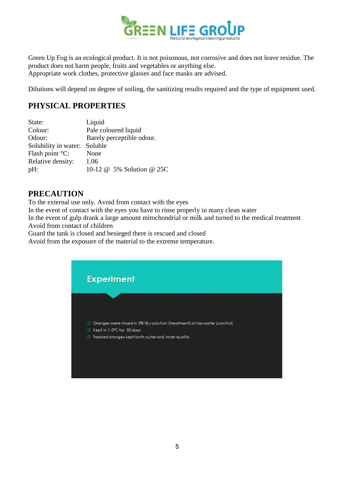

Green Up Fog is an ecological product. It is not poisonous, not corrosive and does not leave residue. The product does not harm people, fruits and vegetables or anything else. Appropriate work clothes, protective glasses and face masks are advised.

Dilutions will depend on degree of soiling, the sanitizing results required and the type of equipment used.

### **PHYSICAL PROPERTIES**

| State:               | Liquid                    |
|----------------------|---------------------------|
| Colour:              | Pale coloured liquid      |
| Odour:               | Barely perceptible odour. |
| Solubility in water: | Soluble                   |
| Flash point $°C$ :   | None                      |
| Relative density:    | 1.06                      |
| pH:                  | 10-12 @ 5% Solution @ 25C |

### **PRECAUTION**

To the external use only. Avoid from contact with the eyes

In the event of contact with the eyes you have to rinse properly in many clean water

In the event of gulp drank a large amount mitochondrial or milk and turned to the medical treatment Avoid from contact of children

Guard the tank is closed and besieged there is rescued and closed

Avoid from the exposure of the material to the extreme temperature.

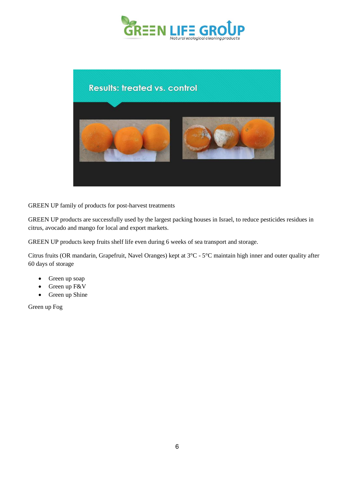



GREEN UP family of products for post-harvest treatments

GREEN UP products are successfully used by the largest packing houses in Israel, to reduce pesticides residues in citrus, avocado and mango for local and export markets.

GREEN UP products keep fruits shelf life even during 6 weeks of sea transport and storage.

Citrus fruits (OR mandarin, Grapefruit, Navel Oranges) kept at 3°C - 5°C maintain high inner and outer quality after 60 days of storage

- Green up soap
- Green up F&V
- Green up Shine

Green up Fog